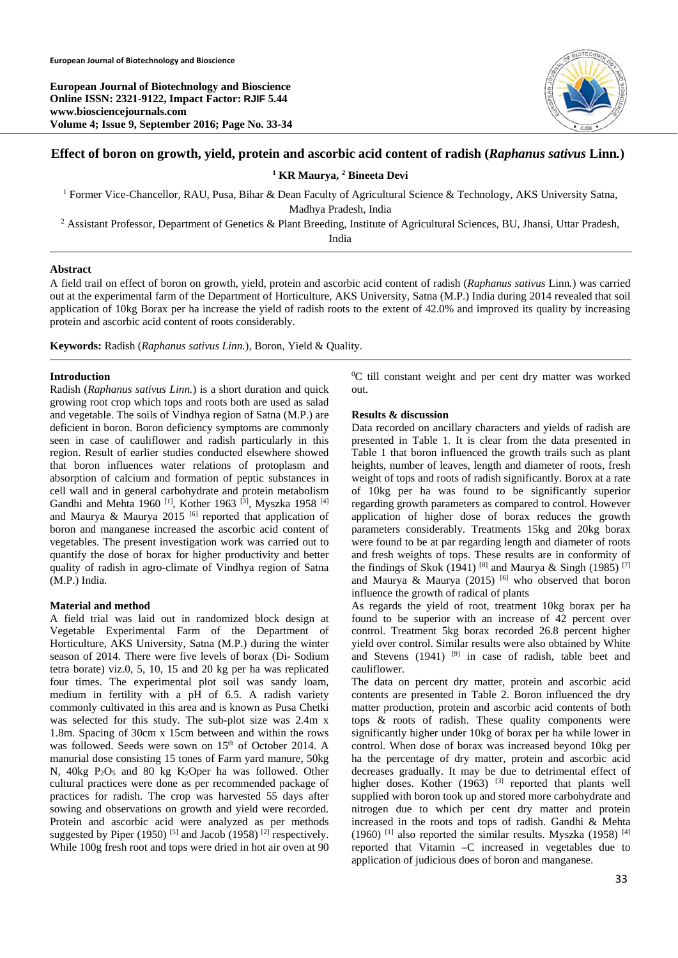**European Journal of Biotechnology and Bioscience Online ISSN: 2321-9122, Impact Factor: RJIF 5.44 www.biosciencejournals.com Volume 4; Issue 9, September 2016; Page No. 33-34** 



# **Effect of boron on growth, yield, protein and ascorbic acid content of radish (***Raphanus sativus* **Linn***.***)**

### <sup>1</sup> KR Maurya, <sup>2</sup> Bineeta Devi

<sup>1</sup> Former Vice-Chancellor, RAU, Pusa, Bihar & Dean Faculty of Agricultural Science & Technology, AKS University Satna,

Madhya Pradesh, India<br><sup>2</sup> Assistant Professor, Department of Genetics & Plant Breeding, Institute of Agricultural Sciences, BU, Jhansi, Uttar Pradesh,

India

## **Abstract**

A field trail on effect of boron on growth, yield, protein and ascorbic acid content of radish (*Raphanus sativus* Linn*.*) was carried out at the experimental farm of the Department of Horticulture, AKS University, Satna (M.P.) India during 2014 revealed that soil application of 10kg Borax per ha increase the yield of radish roots to the extent of 42.0% and improved its quality by increasing protein and ascorbic acid content of roots considerably.

**Keywords:** Radish (*Raphanus sativus Linn.*), Boron, Yield & Quality.

### **Introduction**

Radish (*Raphanus sativus Linn.*) is a short duration and quick growing root crop which tops and roots both are used as salad and vegetable. The soils of Vindhya region of Satna (M.P.) are deficient in boron. Boron deficiency symptoms are commonly seen in case of cauliflower and radish particularly in this region. Result of earlier studies conducted elsewhere showed that boron influences water relations of protoplasm and absorption of calcium and formation of peptic substances in cell wall and in general carbohydrate and protein metabolism Gandhi and Mehta 1960<sup>[1]</sup>, Kother 1963<sup>[3]</sup>, Myszka 1958<sup>[4]</sup> and Maurya & Maurya 2015 <sup>[6]</sup> reported that application of boron and manganese increased the ascorbic acid content of vegetables. The present investigation work was carried out to quantify the dose of borax for higher productivity and better quality of radish in agro-climate of Vindhya region of Satna (M.P.) India.

### **Material and method**

A field trial was laid out in randomized block design at Vegetable Experimental Farm of the Department of Horticulture, AKS University, Satna (M.P.) during the winter season of 2014. There were five levels of borax (Di- Sodium tetra borate) viz.0, 5, 10, 15 and 20 kg per ha was replicated four times. The experimental plot soil was sandy loam, medium in fertility with a pH of 6.5. A radish variety commonly cultivated in this area and is known as Pusa Chetki was selected for this study. The sub-plot size was 2.4m x 1.8m. Spacing of 30cm x 15cm between and within the rows was followed. Seeds were sown on 15<sup>th</sup> of October 2014. A manurial dose consisting 15 tones of Farm yard manure, 50kg N,  $40kg$  P<sub>2</sub>O<sub>5</sub> and 80 kg K<sub>2</sub>Oper ha was followed. Other cultural practices were done as per recommended package of practices for radish. The crop was harvested 55 days after sowing and observations on growth and yield were recorded. Protein and ascorbic acid were analyzed as per methods suggested by Piper (1950) <sup>[5]</sup> and Jacob (1958) <sup>[2]</sup> respectively. While 100g fresh root and tops were dried in hot air oven at 90

0 C till constant weight and per cent dry matter was worked out.

### **Results & discussion**

Data recorded on ancillary characters and yields of radish are presented in Table 1. It is clear from the data presented in Table 1 that boron influenced the growth trails such as plant heights, number of leaves, length and diameter of roots, fresh weight of tops and roots of radish significantly. Borox at a rate of 10kg per ha was found to be significantly superior regarding growth parameters as compared to control. However application of higher dose of borax reduces the growth parameters considerably. Treatments 15kg and 20kg borax were found to be at par regarding length and diameter of roots and fresh weights of tops. These results are in conformity of the findings of Skok (1941) [8] and Maurya & Singh (1985) [7] and Maurya & Maurya (2015)  $^{[6]}$  who observed that boron influence the growth of radical of plants

As regards the yield of root, treatment 10kg borax per ha found to be superior with an increase of 42 percent over control. Treatment 5kg borax recorded 26.8 percent higher yield over control. Similar results were also obtained by White and Stevens  $(1941)$  <sup>[9]</sup> in case of radish, table beet and cauliflower.

The data on percent dry matter, protein and ascorbic acid contents are presented in Table 2. Boron influenced the dry matter production, protein and ascorbic acid contents of both tops  $\&$  roots of radish. These quality components were significantly higher under 10kg of borax per ha while lower in control. When dose of borax was increased beyond 10kg per ha the percentage of dry matter, protein and ascorbic acid decreases gradually. It may be due to detrimental effect of higher doses. Kother  $(1963)$  <sup>[3]</sup> reported that plants well supplied with boron took up and stored more carbohydrate and nitrogen due to which per cent dry matter and protein increased in the roots and tops of radish. Gandhi & Mehta (1960) <sup>[1]</sup> also reported the similar results. Myszka (1958) <sup>[4]</sup> reported that Vitamin –C increased in vegetables due to application of judicious does of boron and manganese.